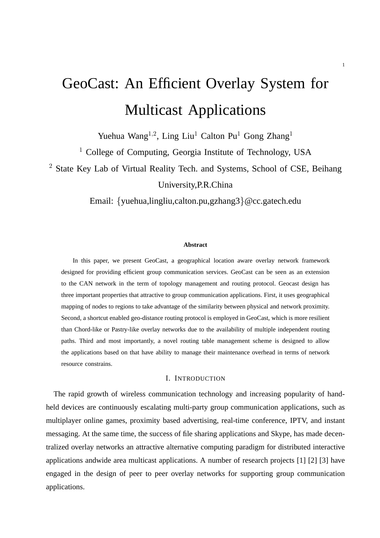# GeoCast: An Efficient Overlay System for Multicast Applications

Yuehua Wang<sup>1,2</sup>, Ling Liu<sup>1</sup> Calton Pu<sup>1</sup> Gong Zhang<sup>1</sup>

<sup>1</sup> College of Computing, Georgia Institute of Technology, USA

<sup>2</sup> State Key Lab of Virtual Reality Tech. and Systems, School of CSE, Beihang

University,P.R.China

Email: {yuehua,lingliu,calton.pu,gzhang3}@cc.gatech.edu

#### **Abstract**

In this paper, we present GeoCast, a geographical location aware overlay network framework designed for providing efficient group communication services. GeoCast can be seen as an extension to the CAN network in the term of topology management and routing protocol. Geocast design has three important properties that attractive to group communication applications. First, it uses geographical mapping of nodes to regions to take advantage of the similarity between physical and network proximity. Second, a shortcut enabled geo-distance routing protocol is employed in GeoCast, which is more resilient than Chord-like or Pastry-like overlay networks due to the availability of multiple independent routing paths. Third and most importantly, a novel routing table management scheme is designed to allow the applications based on that have ability to manage their maintenance overhead in terms of network resource constrains.

# I. INTRODUCTION

The rapid growth of wireless communication technology and increasing popularity of handheld devices are continuously escalating multi-party group communication applications, such as multiplayer online games, proximity based advertising, real-time conference, IPTV, and instant messaging. At the same time, the success of file sharing applications and Skype, has made decentralized overlay networks an attractive alternative computing paradigm for distributed interactive applications andwide area multicast applications. A number of research projects [1] [2] [3] have engaged in the design of peer to peer overlay networks for supporting group communication applications.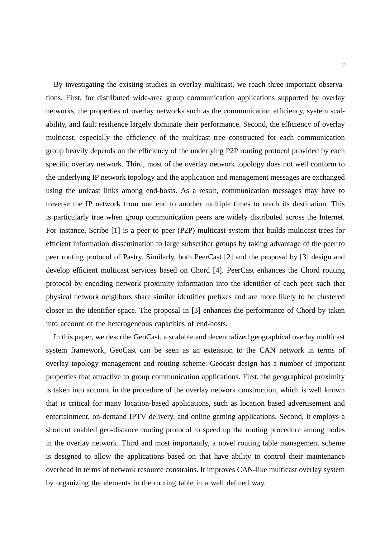By investigating the existing studies in overlay multicast, we reach three important observations. First, for distributed wide-area group communication applications supported by overlay networks, the properties of overlay networks such as the communication efficiency, system scalability, and fault resilience largely dominate their performance. Second, the efficiency of overlay multicast, especially the efficiency of the multicast tree constructed for each communication group heavily depends on the efficiency of the underlying P2P routing protocol provided by each specific overlay network. Third, most of the overlay network topology does not well conform to the underlying IP network topology and the application and management messages are exchanged using the unicast links among end-hosts. As a result, communication messages may have to traverse the IP network from one end to another multiple times to reach its destination. This is particularly true when group communication peers are widely distributed across the Internet. For instance, Scribe [1] is a peer to peer (P2P) multicast system that builds multicast trees for efficient information dissemination to large subscriber groups by taking advantage of the peer to peer routing protocol of Pastry. Similarly, both PeerCast [2] and the proposal by [3] design and develop efficient multicast services based on Chord [4]. PeerCast enhances the Chord routing protocol by encoding network proximity information into the identifier of each peer such that physical network neighbors share similar identifier prefixes and are more likely to be clustered closer in the identifier space. The proposal in [3] enhances the performance of Chord by taken into account of the heterogeneous capacities of end-hosts.

In this paper, we describe GeoCast, a scalable and decentralized geographical overlay multicast system framework, GeoCast can be seen as an extension to the CAN network in terms of overlay topology management and routing scheme. Geocast design has a number of important properties that attractive to group communication applications. First, the geographical proximity is taken into account in the procedure of the overlay network construction, which is well known that is critical for many location-based applications, such as location based advertisement and entertainment, on-demand IPTV delivery, and online gaming applications. Second, it employs a shortcut enabled geo-distance routing protocol to speed up the routing procedure among nodes in the overlay network. Third and most importantly, a novel routing table management scheme is designed to allow the applications based on that have ability to control their maintenance overhead in terms of network resource constrains. It improves CAN-like multicast overlay system by organizing the elements in the routing table in a well defined way.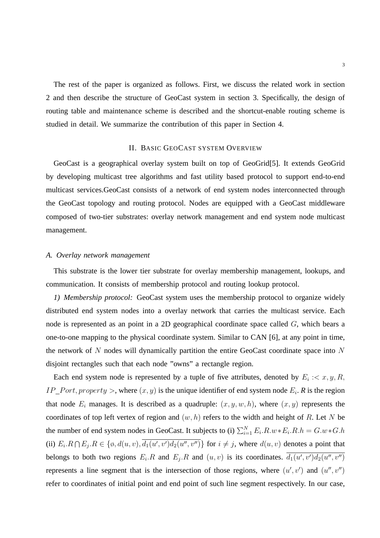The rest of the paper is organized as follows. First, we discuss the related work in section 2 and then describe the structure of GeoCast system in section 3. Specifically, the design of routing table and maintenance scheme is described and the shortcut-enable routing scheme is studied in detail. We summarize the contribution of this paper in Section 4.

# II. BASIC GEOCAST SYSTEM OVERVIEW

GeoCast is a geographical overlay system built on top of GeoGrid[5]. It extends GeoGrid by developing multicast tree algorithms and fast utility based protocol to support end-to-end multicast services.GeoCast consists of a network of end system nodes interconnected through the GeoCast topology and routing protocol. Nodes are equipped with a GeoCast middleware composed of two-tier substrates: overlay network management and end system node multicast management.

# *A. Overlay network management*

This substrate is the lower tier substrate for overlay membership management, lookups, and communication. It consists of membership protocol and routing lookup protocol.

*1) Membership protocol:* GeoCast system uses the membership protocol to organize widely distributed end system nodes into a overlay network that carries the multicast service. Each node is represented as an point in a 2D geographical coordinate space called G, which bears a one-to-one mapping to the physical coordinate system. Similar to CAN [6], at any point in time, the network of N nodes will dynamically partition the entire GeoCast coordinate space into N disjoint rectangles such that each node "owns" a rectangle region.

Each end system node is represented by a tuple of five attributes, denoted by  $E_i$ : $\lt x, y, R$ ,  $IP\_Port, property >$ , where  $(x, y)$  is the unique identifier of end system node  $E_i$ . *R* is the region that node  $E_i$  manages. It is described as a quadruple:  $(x, y, w, h)$ , where  $(x, y)$  represents the coordinates of top left vertex of region and  $(w, h)$  refers to the width and height of R. Let N be the number of end system nodes in GeoCast. It subjects to (i)  $\sum_{i=1}^{N} E_i R_i w * E_i R_i h = G_i w * G_i h$ (ii)  $E_i \cdot R \cap E_j \cdot R \in \{ \emptyset, d(u, v), \overline{d_1(u', v')d_2(u'', v'')} \}$  for  $i \neq j$ , where  $d(u, v)$  denotes a point that belongs to both two regions  $E_i \cdot R$  and  $E_j \cdot R$  and  $(u, v)$  is its coordinates.  $\overline{d_1(u', v')d_2(u'', v'')}$ represents a line segment that is the intersection of those regions, where  $(u', v')$  and  $(u'', v'')$ refer to coordinates of initial point and end point of such line segment respectively. In our case,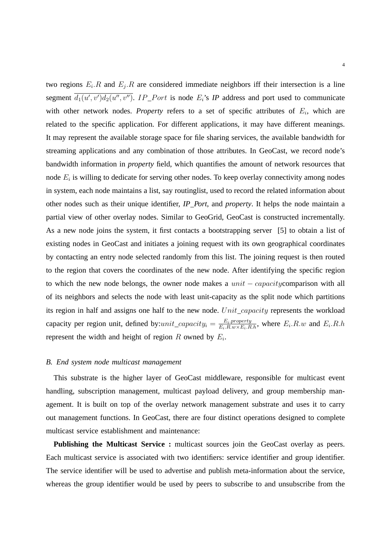two regions  $E_i$ . R and  $E_j$ . R are considered immediate neighbors iff their intersection is a line segment  $\overline{d_1(u',v')d_2(u'',v'')}$ . *IP\_Port* is node  $E_i$ 's *IP* address and port used to communicate with other network nodes. *Property* refers to a set of specific attributes of  $E_i$ , which are related to the specific application. For different applications, it may have different meanings. It may represent the available storage space for file sharing services, the available bandwidth for streaming applications and any combination of those attributes. In GeoCast, we record node's bandwidth information in *property* field, which quantifies the amount of network resources that node  $E_i$  is willing to dedicate for serving other nodes. To keep overlay connectivity among nodes in system, each node maintains a list, say routinglist, used to record the related information about other nodes such as their unique identifier, *IP Port*, and *property*. It helps the node maintain a partial view of other overlay nodes. Similar to GeoGrid, GeoCast is constructed incrementally. As a new node joins the system, it first contacts a bootstrapping server [5] to obtain a list of existing nodes in GeoCast and initiates a joining request with its own geographical coordinates by contacting an entry node selected randomly from this list. The joining request is then routed to the region that covers the coordinates of the new node. After identifying the specific region to which the new node belongs, the owner node makes a  $unit - capacity$ comparison with all of its neighbors and selects the node with least unit-capacity as the split node which partitions its region in half and assigns one half to the new node.  $Unit\_capacity$  represents the workload capacity per region unit, defined by:*unit\_capacity<sub>i</sub>* =  $\frac{E_i$ *property*<sub>*R.h,*</sub>, where  $E_i$ *.R.w* and  $E_i$ *.R.h* represent the width and height of region R owned by  $E_i$ .

#### *B. End system node multicast management*

This substrate is the higher layer of GeoCast middleware, responsible for multicast event handling, subscription management, multicast payload delivery, and group membership management. It is built on top of the overlay network management substrate and uses it to carry out management functions. In GeoCast, there are four distinct operations designed to complete multicast service establishment and maintenance:

**Publishing the Multicast Service :** multicast sources join the GeoCast overlay as peers. Each multicast service is associated with two identifiers: service identifier and group identifier. The service identifier will be used to advertise and publish meta-information about the service, whereas the group identifier would be used by peers to subscribe to and unsubscribe from the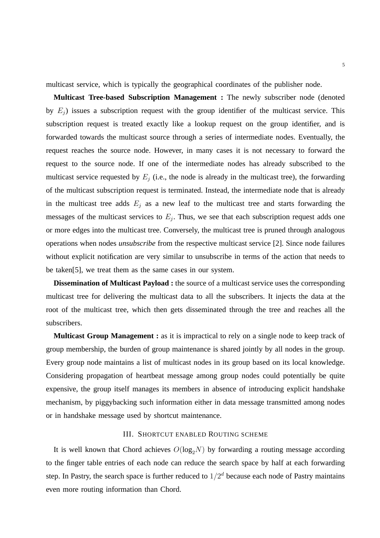multicast service, which is typically the geographical coordinates of the publisher node.

**Multicast Tree-based Subscription Management :** The newly subscriber node (denoted by  $E_i$ ) issues a subscription request with the group identifier of the multicast service. This subscription request is treated exactly like a lookup request on the group identifier, and is forwarded towards the multicast source through a series of intermediate nodes. Eventually, the request reaches the source node. However, in many cases it is not necessary to forward the request to the source node. If one of the intermediate nodes has already subscribed to the multicast service requested by  $E_i$  (i.e., the node is already in the multicast tree), the forwarding of the multicast subscription request is terminated. Instead, the intermediate node that is already in the multicast tree adds  $E_j$  as a new leaf to the multicast tree and starts forwarding the messages of the multicast services to  $E_j$ . Thus, we see that each subscription request adds one or more edges into the multicast tree. Conversely, the multicast tree is pruned through analogous operations when nodes *unsubscribe* from the respective multicast service [2]. Since node failures without explicit notification are very similar to unsubscribe in terms of the action that needs to be taken[5], we treat them as the same cases in our system.

**Dissemination of Multicast Payload :** the source of a multicast service uses the corresponding multicast tree for delivering the multicast data to all the subscribers. It injects the data at the root of the multicast tree, which then gets disseminated through the tree and reaches all the subscribers.

**Multicast Group Management :** as it is impractical to rely on a single node to keep track of group membership, the burden of group maintenance is shared jointly by all nodes in the group. Every group node maintains a list of multicast nodes in its group based on its local knowledge. Considering propagation of heartbeat message among group nodes could potentially be quite expensive, the group itself manages its members in absence of introducing explicit handshake mechanism, by piggybacking such information either in data message transmitted among nodes or in handshake message used by shortcut maintenance.

# III. SHORTCUT ENABLED ROUTING SCHEME

It is well known that Chord achieves  $O(log_2N)$  by forwarding a routing message according to the finger table entries of each node can reduce the search space by half at each forwarding step. In Pastry, the search space is further reduced to  $1/2<sup>d</sup>$  because each node of Pastry maintains even more routing information than Chord.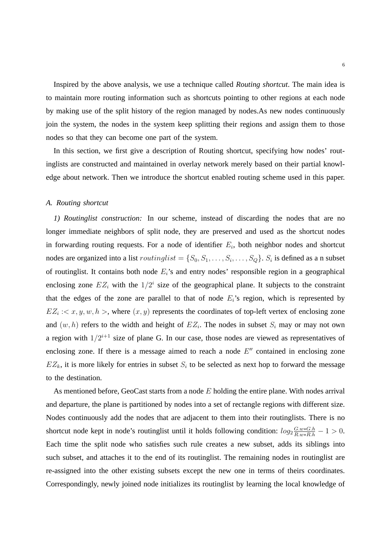Inspired by the above analysis, we use a technique called *Routing shortcut*. The main idea is to maintain more routing information such as shortcuts pointing to other regions at each node by making use of the split history of the region managed by nodes.As new nodes continuously join the system, the nodes in the system keep splitting their regions and assign them to those nodes so that they can become one part of the system.

In this section, we first give a description of Routing shortcut, specifying how nodes' routinglists are constructed and maintained in overlay network merely based on their partial knowledge about network. Then we introduce the shortcut enabled routing scheme used in this paper.

#### *A. Routing shortcut*

*1) Routinglist construction:* In our scheme, instead of discarding the nodes that are no longer immediate neighbors of split node, they are preserved and used as the shortcut nodes in forwarding routing requests. For a node of identifier  $E_i$ , both neighbor nodes and shortcut nodes are organized into a list  $routinglist = \{S_0, S_1, \ldots, S_i, \ldots, S_Q\}$ .  $S_i$  is defined as a n subset of routinglist. It contains both node  $E_i$ 's and entry nodes' responsible region in a geographical enclosing zone  $EZ_i$  with the  $1/2^i$  size of the geographical plane. It subjects to the constraint that the edges of the zone are parallel to that of node  $E_i$ 's region, which is represented by  $EZ_i$  :  $\langle x, y, w, h \rangle$ , where  $(x, y)$  represents the coordinates of top-left vertex of enclosing zone and  $(w, h)$  refers to the width and height of  $EZ_i$ . The nodes in subset  $S_i$  may or may not own a region with  $1/2^{i+1}$  size of plane G. In our case, those nodes are viewed as representatives of enclosing zone. If there is a message aimed to reach a node  $E''$  contained in enclosing zone  $EZ_k$ , it is more likely for entries in subset  $S_i$  to be selected as next hop to forward the message to the destination.

As mentioned before, GeoCast starts from a node  $E$  holding the entire plane. With nodes arrival and departure, the plane is partitioned by nodes into a set of rectangle regions with different size. Nodes continuously add the nodes that are adjacent to them into their routinglists. There is no shortcut node kept in node's routinglist until it holds following condition:  $log_2 \frac{G.w * G.h}{R.w * R.h} - 1 > 0$ . Each time the split node who satisfies such rule creates a new subset, adds its siblings into such subset, and attaches it to the end of its routinglist. The remaining nodes in routinglist are re-assigned into the other existing subsets except the new one in terms of theirs coordinates. Correspondingly, newly joined node initializes its routinglist by learning the local knowledge of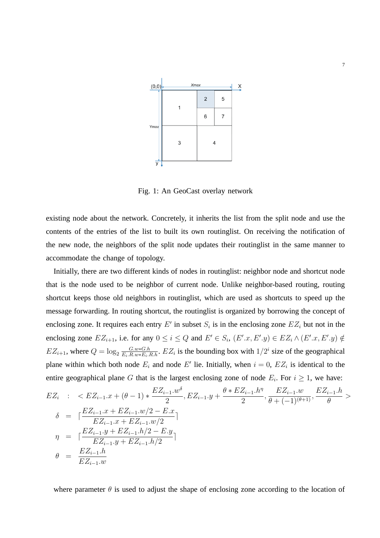

Fig. 1: An GeoCast overlay network

existing node about the network. Concretely, it inherits the list from the split node and use the contents of the entries of the list to built its own routinglist. On receiving the notification of the new node, the neighbors of the split node updates their routinglist in the same manner to accommodate the change of topology.

Initially, there are two different kinds of nodes in routinglist: neighbor node and shortcut node that is the node used to be neighbor of current node. Unlike neighbor-based routing, routing shortcut keeps those old neighbors in routinglist, which are used as shortcuts to speed up the message forwarding. In routing shortcut, the routinglist is organized by borrowing the concept of enclosing zone. It requires each entry E' in subset  $S_i$  is in the enclosing zone  $EZ_i$  but not in the enclosing zone  $EZ_{i+1}$ , i.e. for any  $0 \le i \le Q$  and  $E' \in S_i$ ,  $(E'.x, E'.y) \in EZ_i \wedge (E'.x, E'.y) \notin$  $EZ_{i+1}$ , where  $Q = \log_2 \frac{G.w * G.h}{E_i.R.w * E_i.R.h}$ .  $EZ_i$  is the bounding box with  $1/2^i$  size of the geographical plane within which both node  $E_i$  and node E' lie. Initially, when  $i = 0$ ,  $EZ_i$  is identical to the entire geographical plane G that is the largest enclosing zone of node  $E_i$ . For  $i \geq 1$ , we have:

$$
EZ_{i} : < EZ_{i-1} \tcdot x + (\theta - 1) * \frac{EZ_{i-1} \tcdot w^{\delta}}{2}, EZ_{i-1} \tcdot y + \frac{\theta * EZ_{i-1} \tcdot h^{\eta}}{2}, \frac{EZ_{i-1} \tcdot w}{\theta + (-1)^{(\theta + 1)}}, \frac{EZ_{i-1} \tcdot h}{\theta} > \delta = \lceil \frac{EZ_{i-1} \tcdot x + EZ_{i-1} \tcdot w/2 - E \tcdot x}{EZ_{i-1} \tcdot x + EZ_{i-1} \tcdot w/2} \rceil
$$
\n
$$
\eta = \lceil \frac{EZ_{i-1} \tcdot y + EZ_{i-1} \tcdot h/2 - E \tcdot y}{EZ_{i-1} \tcdot y + EZ_{i-1} \tcdot h/2} \rceil
$$
\n
$$
\theta = \frac{EZ_{i-1} \tcdot h}{EZ_{i-1} \tcdot w}
$$

where parameter  $\theta$  is used to adjust the shape of enclosing zone according to the location of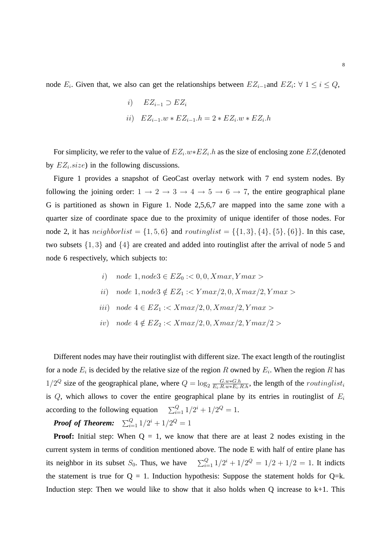node  $E_i$ . Given that, we also can get the relationships between  $EZ_{i-1}$  and  $EZ_i$ :  $\forall$  1  $\leq i \leq Q$ ,

$$
i) \t EZ_{i-1} \supset EZ_i
$$
  

$$
ii) \t EZ_{i-1}.w * EZ_{i-1}.h = 2 * EZ_i.w * EZ_i.h
$$

For simplicity, we refer to the value of  $EZ_i.w*EZ_i.h$  as the size of enclosing zone  $EZ_i$  (denoted by  $EZ_i.size$ ) in the following discussions.

Figure 1 provides a snapshot of GeoCast overlay network with 7 end system nodes. By following the joining order:  $1 \rightarrow 2 \rightarrow 3 \rightarrow 4 \rightarrow 5 \rightarrow 6 \rightarrow 7$ , the entire geographical plane G is partitioned as shown in Figure 1. Node 2,5,6,7 are mapped into the same zone with a quarter size of coordinate space due to the proximity of unique identifer of those nodes. For node 2, it has  $neighborlist = \{1, 5, 6\}$  and  $routinglist = \{\{1, 3\}, \{4\}, \{5\}, \{6\}\}.$  In this case, two subsets {1, 3} and {4} are created and added into routinglist after the arrival of node 5 and node 6 respectively, which subjects to:

i) node 
$$
1, node3 \in EZ_0 : < 0, 0, Xmax, Ymax >
$$

*ii)* node 1, node3 
$$
\notin EZ_1
$$
 : $Ymax/2, 0, Xmax/2, Ymax>$ 

- iii) node  $4 \in EZ_1 : \langle Xmax/2, 0, Xmax/2, Ymax \rangle$
- iv) node  $4 \notin EZ_2 : \langle Xmax/2, 0, Xmax/2, Ymax/2 \rangle$

Different nodes may have their routinglist with different size. The exact length of the routinglist for a node  $E_i$  is decided by the relative size of the region R owned by  $E_i$ . When the region R has  $1/2^Q$  size of the geographical plane, where  $Q = \log_2 \frac{G.w * G.h}{E_i.R.w * E_i.R.h}$ , the length of the *routinglist<sub>i</sub>* is  $Q$ , which allows to cover the entire geographical plane by its entries in routinglist of  $E_i$ according to the following equation  $\sum_{i=1}^{Q} 1/2^{i} + 1/2^{Q} = 1$ .

**Proof of Theorem:**  $\sum_{i=1}^{Q} 1/2^{i} + 1/2^{Q} = 1$ 

**Proof:** Initial step: When  $Q = 1$ , we know that there are at least 2 nodes existing in the current system in terms of condition mentioned above. The node E with half of entire plane has its neighbor in its subset  $S_0$ . Thus, we have  $\frac{Q}{i=1} 1/2^i + 1/2^Q = 1/2 + 1/2 = 1$ . It indicts the statement is true for  $Q = 1$ . Induction hypothesis: Suppose the statement holds for  $Q = k$ . Induction step: Then we would like to show that it also holds when  $Q$  increase to  $k+1$ . This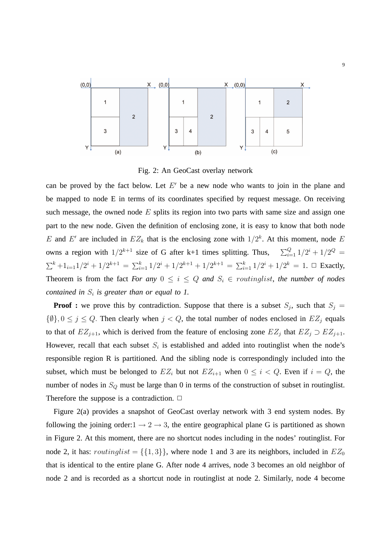

Fig. 2: An GeoCast overlay network

can be proved by the fact below. Let  $E'$  be a new node who wants to join in the plane and be mapped to node E in terms of its coordinates specified by request message. On receiving such message, the owned node  $E$  splits its region into two parts with same size and assign one part to the new node. Given the definition of enclosing zone, it is easy to know that both node E and E' are included in  $EZ_k$  that is the enclosing zone with  $1/2^k$ . At this moment, node E owns a region with  $1/2^{k+1}$  size of G after k+1 times splitting. Thus,  $\sum_{i=1}^{Q} 1/2^{i} + 1/2^{Q} =$  $\sum^{k}$ +1<sub>i=1</sub>1/2<sup>i</sup> + 1/2<sup>k+1</sup> =  $\sum_{i=1}^{k} 1/2^{i}$  + 1/2<sup>k+1</sup> + 1/2<sup>k+1</sup> =  $\sum_{i=1}^{k} 1/2^{i}$  + 1/2<sup>k</sup> = 1.  $\Box$  Exactly, Theorem is from the fact *For any*  $0 \le i \le Q$  *and*  $S_i \in$  *routinglist, the number of nodes contained in*  $S_i$  *is greater than or equal to 1.* 

**Proof :** we prove this by contradiction. Suppose that there is a subset  $S_j$ , such that  $S_j =$  $\{\emptyset\}, 0 \le j \le Q$ . Then clearly when  $j < Q$ , the total number of nodes enclosed in  $EZ_j$  equals to that of  $EZ_{j+1}$ , which is derived from the feature of enclosing zone  $EZ_j$  that  $EZ_j \supset EZ_{j+1}$ . However, recall that each subset  $S_i$  is established and added into routinglist when the node's responsible region R is partitioned. And the sibling node is correspondingly included into the subset, which must be belonged to  $EZ_i$  but not  $EZ_{i+1}$  when  $0 \leq i < Q$ . Even if  $i = Q$ , the number of nodes in  $S_Q$  must be large than 0 in terms of the construction of subset in routinglist. Therefore the suppose is a contradiction.  $\Box$ 

Figure 2(a) provides a snapshot of GeoCast overlay network with 3 end system nodes. By following the joining order: $1 \rightarrow 2 \rightarrow 3$ , the entire geographical plane G is partitioned as shown in Figure 2. At this moment, there are no shortcut nodes including in the nodes' routinglist. For node 2, it has:  $routinglist = \{\{1,3\}\}\$ , where node 1 and 3 are its neighbors, included in  $EZ_0$ that is identical to the entire plane G. After node 4 arrives, node 3 becomes an old neighbor of node 2 and is recorded as a shortcut node in routinglist at node 2. Similarly, node 4 become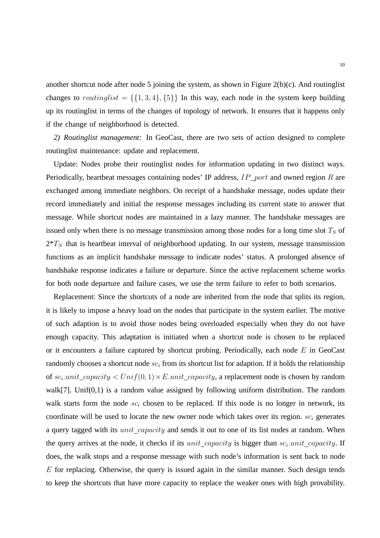another shortcut node after node 5 joining the system, as shown in Figure 2(b)(c). And routinglist changes to routinglist =  $\{\{1,3,4\},\{5\}\}\$  In this way, each node in the system keep building up its routinglist in terms of the changes of topology of network. It ensures that it happens only if the change of neighborhood is detected.

*2) Routinglist management:* In GeoCast, there are two sets of action designed to complete routinglist maintenance: update and replacement.

Update: Nodes probe their routinglist nodes for information updating in two distinct ways. Periodically, heartbeat messages containing nodes' IP address,  $IP\_port$  and owned region R are exchanged among immediate neighbors. On receipt of a handshake message, nodes update their record immediately and initial the response messages including its current state to answer that message. While shortcut nodes are maintained in a lazy manner. The handshake messages are issued only when there is no message transmission among those nodes for a long time slot  $T<sub>S</sub>$  of  $2*T_N$  that is heartbeat interval of neighborhood updating. In our system, message transmission functions as an implicit handshake message to indicate nodes' status. A prolonged absence of handshake response indicates a failure or departure. Since the active replacement scheme works for both node departure and failure cases, we use the term failure to refer to both scenarios.

Replacement: Since the shortcuts of a node are inherited from the node that splits its region, it is likely to impose a heavy load on the nodes that participate in the system earlier. The motive of such adaption is to avoid those nodes being overloaded especially when they do not have enough capacity. This adaptation is initiated when a shortcut node is chosen to be replaced or it encounters a failure captured by shortcut probing. Periodically, each node  $E$  in GeoCast randomly chooses a shortcut node  $sc_i$  from its shortcut list for adaption. If it holds the relationship of  $sc_i$  unit\_capacity  $\lt Unif(0,1) \times E$  unit\_capacity, a replacement node is chosen by random walk[7]. Unif(0,1) is a random value assigned by following uniform distribution. The random walk starts form the node  $sc_i$  chosen to be replaced. If this node is no longer in network, its coordinate will be used to locate the new owner node which takes over its region.  $s c_i$  generates a query tagged with its *unit capacity* and sends it out to one of its list nodes at random. When the query arrives at the node, it checks if its  $unit\_capacity$  is bigger than  $sc_i$  unit\_capacity. If does, the walk stops and a response message with such node's information is sent back to node  $E$  for replacing. Otherwise, the query is issued again in the similar manner. Such design tends to keep the shortcuts that have more capacity to replace the weaker ones with high provability.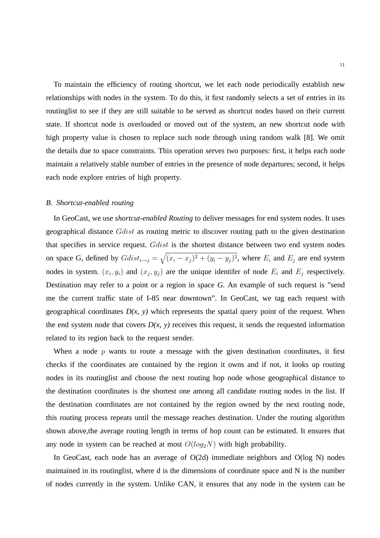To maintain the efficiency of routing shortcut, we let each node periodically establish new relationships with nodes in the system. To do this, it first randomly selects a set of entries in its routinglist to see if they are still suitable to be served as shortcut nodes based on their current state. If shortcut node is overloaded or moved out of the system, an new shortcut node with high property value is chosen to replace such node through using random walk [8]. We omit the details due to space constraints. This operation serves two purposes: first, it helps each node maintain a relatively stable number of entries in the presence of node departures; second, it helps each node explore entries of high property.

#### *B. Shortcut-enabled routing*

In GeoCast, we use *shortcut-enabled Routing* to deliver messages for end system nodes. It uses geographical distance Gdist as routing metric to discover routing path to the given destination that specifies in service request. Gdist is the shortest distance between two end system nodes on space G, defined by  $Gdist_{i\rightarrow j} = \sqrt{(x_i - x_j)^2 + (y_i - y_j)^2}$ , where  $E_i$  and  $E_j$  are end system nodes in system.  $(x_i, y_i)$  and  $(x_j, y_j)$  are the unique identifer of node  $E_i$  and  $E_j$  respectively. Destination may refer to a point or a region in space *G*. An example of such request is "send me the current traffic state of I-85 near downtown". In GeoCast, we tag each request with geographical coordinates  $D(x, y)$  which represents the spatial query point of the request. When the end system node that covers  $D(x, y)$  receives this request, it sends the requested information related to its region back to the request sender.

When a node  $p$  wants to route a message with the given destination coordinates, it first checks if the coordinates are contained by the region it owns and if not, it looks up routing nodes in its routinglist and choose the next routing hop node whose geographical distance to the destination coordinates is the shortest one among all candidate routing nodes in the list. If the destination coordinates are not contained by the region owned by the next routing node, this routing process repeats until the message reaches destination. Under the routing algorithm shown above,the average routing length in terms of hop count can be estimated. It ensures that any node in system can be reached at most  $O(log_2N)$  with high probability.

In GeoCast, each node has an average of O(2d) immediate neighbors and O(log N) nodes maintained in its routinglist, where d is the dimensions of coordinate space and N is the number of nodes currently in the system. Unlike CAN, it ensures that any node in the system can be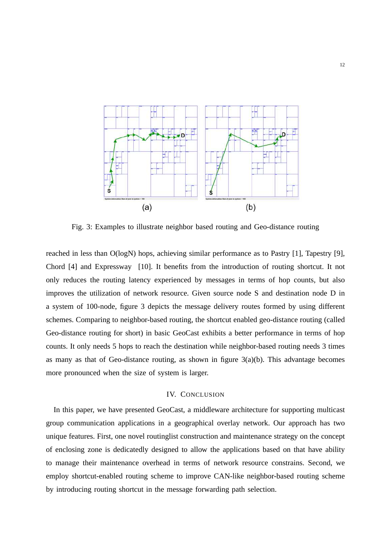

Fig. 3: Examples to illustrate neighbor based routing and Geo-distance routing

reached in less than O(logN) hops, achieving similar performance as to Pastry [1], Tapestry [9], Chord [4] and Expressway [10]. It benefits from the introduction of routing shortcut. It not only reduces the routing latency experienced by messages in terms of hop counts, but also improves the utilization of network resource. Given source node S and destination node D in a system of 100-node, figure 3 depicts the message delivery routes formed by using different schemes. Comparing to neighbor-based routing, the shortcut enabled geo-distance routing (called Geo-distance routing for short) in basic GeoCast exhibits a better performance in terms of hop counts. It only needs 5 hops to reach the destination while neighbor-based routing needs 3 times as many as that of Geo-distance routing, as shown in figure  $3(a)(b)$ . This advantage becomes more pronounced when the size of system is larger.

## IV. CONCLUSION

In this paper, we have presented GeoCast, a middleware architecture for supporting multicast group communication applications in a geographical overlay network. Our approach has two unique features. First, one novel routinglist construction and maintenance strategy on the concept of enclosing zone is dedicatedly designed to allow the applications based on that have ability to manage their maintenance overhead in terms of network resource constrains. Second, we employ shortcut-enabled routing scheme to improve CAN-like neighbor-based routing scheme by introducing routing shortcut in the message forwarding path selection.